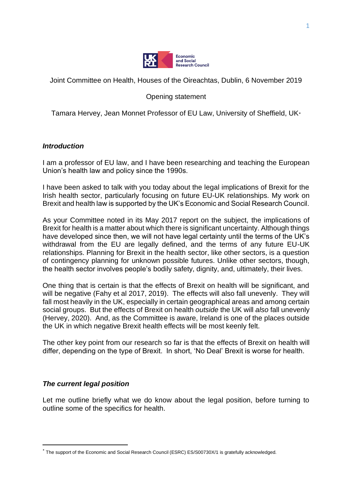

Joint Committee on Health, Houses of the Oireachtas, Dublin, 6 November 2019

## Opening statement

Tamara Hervey, Jean Monnet Professor of EU Law, University of Sheffield, UK\*

### *Introduction*

I am a professor of EU law, and I have been researching and teaching the European Union's health law and policy since the 1990s.

I have been asked to talk with you today about the legal implications of Brexit for the Irish health sector, particularly focusing on future EU-UK relationships. My work on Brexit and health law is supported by the UK's Economic and Social Research Council.

As your Committee noted in its May 2017 report on the subject, the implications of Brexit for health is a matter about which there is significant uncertainty. Although things have developed since then, we will not have legal certainty until the terms of the UK's withdrawal from the EU are legally defined, and the terms of any future EU-UK relationships. Planning for Brexit in the health sector, like other sectors, is a question of contingency planning for unknown possible futures. Unlike other sectors, though, the health sector involves people's bodily safety, dignity, and, ultimately, their lives.

One thing that is certain is that the effects of Brexit on health will be significant, and will be negative (Fahy et al 2017, 2019). The effects will also fall unevenly. They will fall most heavily in the UK, especially in certain geographical areas and among certain social groups. But the effects of Brexit on health *outside* the UK will *also* fall unevenly (Hervey, 2020). And, as the Committee is aware, Ireland is one of the places outside the UK in which negative Brexit health effects will be most keenly felt.

The other key point from our research so far is that the effects of Brexit on health will differ, depending on the type of Brexit. In short, 'No Deal' Brexit is worse for health.

### *The current legal position*

Let me outline briefly what we do know about the legal position, before turning to outline some of the specifics for health.

<sup>\*</sup> The support of the Economic and Social Research Council (ESRC) ES/S00730X/1 is gratefully acknowledged.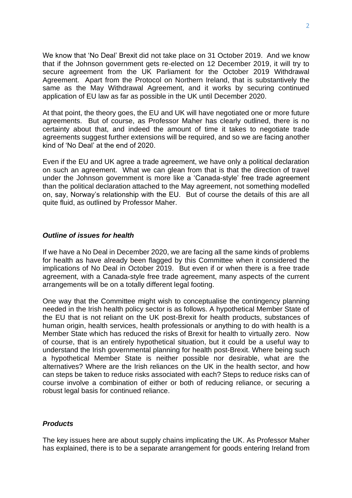We know that 'No Deal' Brexit did not take place on 31 October 2019. And we know that if the Johnson government gets re-elected on 12 December 2019, it will try to secure agreement from the UK Parliament for the October 2019 Withdrawal Agreement. Apart from the Protocol on Northern Ireland, that is substantively the same as the May Withdrawal Agreement, and it works by securing continued application of EU law as far as possible in the UK until December 2020.

At that point, the theory goes, the EU and UK will have negotiated one or more future agreements. But of course, as Professor Maher has clearly outlined, there is no certainty about that, and indeed the amount of time it takes to negotiate trade agreements suggest further extensions will be required, and so we are facing another kind of 'No Deal' at the end of 2020.

Even if the EU and UK agree a trade agreement, we have only a political declaration on such an agreement. What we can glean from that is that the direction of travel under the Johnson government is more like a 'Canada-style' free trade agreement than the political declaration attached to the May agreement, not something modelled on, say, Norway's relationship with the EU. But of course the details of this are all quite fluid, as outlined by Professor Maher.

#### *Outline of issues for health*

If we have a No Deal in December 2020, we are facing all the same kinds of problems for health as have already been flagged by this Committee when it considered the implications of No Deal in October 2019. But even if or when there is a free trade agreement, with a Canada-style free trade agreement, many aspects of the current arrangements will be on a totally different legal footing.

One way that the Committee might wish to conceptualise the contingency planning needed in the Irish health policy sector is as follows. A hypothetical Member State of the EU that is not reliant on the UK post-Brexit for health products, substances of human origin, health services, health professionals or anything to do with health is a Member State which has reduced the risks of Brexit for health to virtually zero. Now of course, that is an entirely hypothetical situation, but it could be a useful way to understand the Irish governmental planning for health post-Brexit. Where being such a hypothetical Member State is neither possible nor desirable, what are the alternatives? Where are the Irish reliances on the UK in the health sector, and how can steps be taken to reduce risks associated with each? Steps to reduce risks can of course involve a combination of either or both of reducing reliance, or securing a robust legal basis for continued reliance.

### *Products*

The key issues here are about supply chains implicating the UK. As Professor Maher has explained, there is to be a separate arrangement for goods entering Ireland from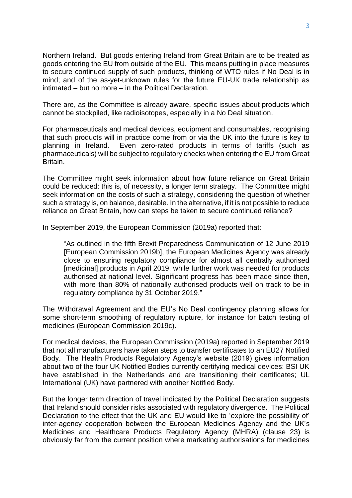Northern Ireland. But goods entering Ireland from Great Britain are to be treated as goods entering the EU from outside of the EU. This means putting in place measures to secure continued supply of such products, thinking of WTO rules if No Deal is in mind; and of the as-yet-unknown rules for the future EU-UK trade relationship as intimated – but no more – in the Political Declaration.

There are, as the Committee is already aware, specific issues about products which cannot be stockpiled, like radioisotopes, especially in a No Deal situation.

For pharmaceuticals and medical devices, equipment and consumables, recognising that such products will in practice come from or via the UK into the future is key to planning in Ireland. Even zero-rated products in terms of tariffs (such as pharmaceuticals) will be subject to regulatory checks when entering the EU from Great Britain.

The Committee might seek information about how future reliance on Great Britain could be reduced: this is, of necessity, a longer term strategy. The Committee might seek information on the costs of such a strategy, considering the question of whether such a strategy is, on balance, desirable. In the alternative, if it is not possible to reduce reliance on Great Britain, how can steps be taken to secure continued reliance?

In September 2019, the European Commission (2019a) reported that:

"As outlined in the fifth Brexit Preparedness Communication of 12 June 2019 [European Commission 2019b], the European Medicines Agency was already close to ensuring regulatory compliance for almost all centrally authorised [medicinal] products in April 2019, while further work was needed for products authorised at national level. Significant progress has been made since then, with more than 80% of nationally authorised products well on track to be in regulatory compliance by 31 October 2019."

The Withdrawal Agreement and the EU's No Deal contingency planning allows for some short-term smoothing of regulatory rupture, for instance for batch testing of medicines (European Commission 2019c).

For medical devices, the European Commission (2019a) reported in September 2019 that not all manufacturers have taken steps to transfer certificates to an EU27 Notified Body. The Health Products Regulatory Agency's website (2019) gives information about two of the four UK Notified Bodies currently certifying medical devices: BSI UK have established in the Netherlands and are transitioning their certificates; UL International (UK) have partnered with another Notified Body.

But the longer term direction of travel indicated by the Political Declaration suggests that Ireland should consider risks associated with regulatory divergence. The Political Declaration to the effect that the UK and EU would like to 'explore the possibility of' inter-agency cooperation between the European Medicines Agency and the UK's Medicines and Healthcare Products Regulatory Agency (MHRA) (clause 23) is obviously far from the current position where marketing authorisations for medicines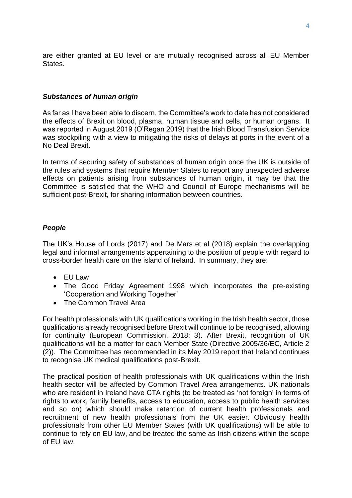are either granted at EU level or are mutually recognised across all EU Member States.

#### *Substances of human origin*

As far as I have been able to discern, the Committee's work to date has not considered the effects of Brexit on blood, plasma, human tissue and cells, or human organs. It was reported in August 2019 (O'Regan 2019) that the Irish Blood Transfusion Service was stockpiling with a view to mitigating the risks of delays at ports in the event of a No Deal Brexit.

In terms of securing safety of substances of human origin once the UK is outside of the rules and systems that require Member States to report any unexpected adverse effects on patients arising from substances of human origin, it may be that the Committee is satisfied that the WHO and Council of Europe mechanisms will be sufficient post-Brexit, for sharing information between countries.

### *People*

The UK's House of Lords (2017) and De Mars et al (2018) explain the overlapping legal and informal arrangements appertaining to the position of people with regard to cross-border health care on the island of Ireland. In summary, they are:

- EU Law
- The Good Friday Agreement 1998 which incorporates the pre-existing 'Cooperation and Working Together'
- The Common Travel Area

For health professionals with UK qualifications working in the Irish health sector, those qualifications already recognised before Brexit will continue to be recognised, allowing for continuity (European Commission, 2018: 3). After Brexit, recognition of UK qualifications will be a matter for each Member State (Directive 2005/36/EC, Article 2 (2)). The Committee has recommended in its May 2019 report that Ireland continues to recognise UK medical qualifications post-Brexit.

The practical position of health professionals with UK qualifications within the Irish health sector will be affected by Common Travel Area arrangements. UK nationals who are resident in Ireland have CTA rights (to be treated as 'not foreign' in terms of rights to work, family benefits, access to education, access to public health services and so on) which should make retention of current health professionals and recruitment of new health professionals from the UK easier. Obviously health professionals from other EU Member States (with UK qualifications) will be able to continue to rely on EU law, and be treated the same as Irish citizens within the scope of EU law.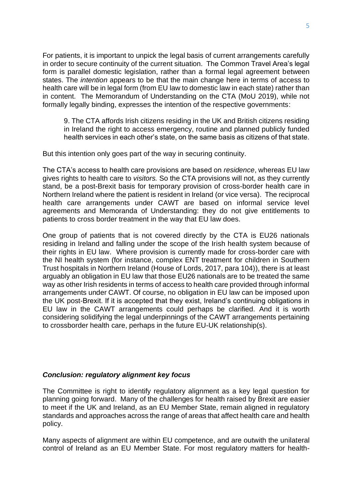For patients, it is important to unpick the legal basis of current arrangements carefully in order to secure continuity of the current situation. The Common Travel Area's legal form is parallel domestic legislation, rather than a formal legal agreement between states. The *intention* appears to be that the main change here in terms of access to health care will be in legal form (from EU law to domestic law in each state) rather than in content. The Memorandum of Understanding on the CTA (MoU 2019), while not formally legally binding, expresses the intention of the respective governments:

9. The CTA affords Irish citizens residing in the UK and British citizens residing in Ireland the right to access emergency, routine and planned publicly funded health services in each other's state, on the same basis as citizens of that state.

But this intention only goes part of the way in securing continuity.

The CTA's access to health care provisions are based on *residence*, whereas EU law gives rights to health care to *visitors.* So the CTA provisions will not, as they currently stand, be a post-Brexit basis for temporary provision of cross-border health care in Northern Ireland where the patient is resident in Ireland (or vice versa). The reciprocal health care arrangements under CAWT are based on informal service level agreements and Memoranda of Understanding: they do not give entitlements to patients to cross border treatment in the way that EU law does.

One group of patients that is not covered directly by the CTA is EU26 nationals residing in Ireland and falling under the scope of the Irish health system because of their rights in EU law. Where provision is currently made for cross-border care with the NI health system (for instance, complex ENT treatment for children in Southern Trust hospitals in Northern Ireland (House of Lords, 2017, para 104)), there is at least arguably an obligation in EU law that those EU26 nationals are to be treated the same way as other Irish residents in terms of access to health care provided through informal arrangements under CAWT. Of course, no obligation in EU law can be imposed upon the UK post-Brexit. If it is accepted that they exist, Ireland's continuing obligations in EU law in the CAWT arrangements could perhaps be clarified. And it is worth considering solidifying the legal underpinnings of the CAWT arrangements pertaining to crossborder health care, perhaps in the future EU-UK relationship(s).

### *Conclusion: regulatory alignment key focus*

The Committee is right to identify regulatory alignment as a key legal question for planning going forward. Many of the challenges for health raised by Brexit are easier to meet if the UK and Ireland, as an EU Member State, remain aligned in regulatory standards and approaches across the range of areas that affect health care and health policy.

Many aspects of alignment are within EU competence, and are outwith the unilateral control of Ireland as an EU Member State. For most regulatory matters for health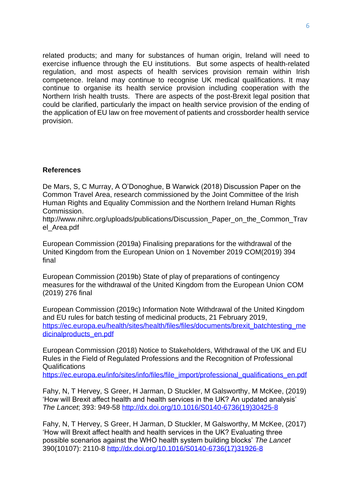related products; and many for substances of human origin, Ireland will need to exercise influence through the EU institutions. But some aspects of health-related regulation, and most aspects of health services provision remain within Irish competence. Ireland may continue to recognise UK medical qualifications. It may continue to organise its health service provision including cooperation with the Northern Irish health trusts. There are aspects of the post-Brexit legal position that could be clarified, particularly the impact on health service provision of the ending of the application of EU law on free movement of patients and crossborder health service provision.

# **References**

De Mars, S, C Murray, A O'Donoghue, B Warwick (2018) Discussion Paper on the Common Travel Area, research commissioned by the Joint Committee of the Irish Human Rights and Equality Commission and the Northern Ireland Human Rights Commission.

http://www.nihrc.org/uploads/publications/Discussion\_Paper\_on\_the\_Common\_Trav el\_Area.pdf

European Commission (2019a) Finalising preparations for the withdrawal of the United Kingdom from the European Union on 1 November 2019 COM(2019) 394 final

European Commission (2019b) State of play of preparations of contingency measures for the withdrawal of the United Kingdom from the European Union COM (2019) 276 final

European Commission (2019c) Information Note Withdrawal of the United Kingdom and EU rules for batch testing of medicinal products, 21 February 2019, [https://ec.europa.eu/health/sites/health/files/files/documents/brexit\\_batchtesting\\_me](https://ec.europa.eu/health/sites/health/files/files/documents/brexit_batchtesting_medicinalproducts_en.pdf) [dicinalproducts\\_en.pdf](https://ec.europa.eu/health/sites/health/files/files/documents/brexit_batchtesting_medicinalproducts_en.pdf)

European Commission (2018) Notice to Stakeholders, Withdrawal of the UK and EU Rules in the Field of Regulated Professions and the Recognition of Professional Qualifications

[https://ec.europa.eu/info/sites/info/files/file\\_import/professional\\_qualifications\\_en.pdf](https://ec.europa.eu/info/sites/info/files/file_import/professional_qualifications_en.pdf)

Fahy, N, T Hervey, S Greer, H Jarman, D Stuckler, M Galsworthy, M McKee, (2019) 'How will Brexit affect health and health services in the UK? An updated analysis' *The Lancet*; 393: 949-58 [http://dx.doi.org/10.1016/S0140-6736\(19\)30425-8](http://dx.doi.org/10.1016/S0140-6736(19)30425-8)

Fahy, N, T Hervey, S Greer, H Jarman, D Stuckler, M Galsworthy, M McKee, (2017) 'How will Brexit affect health and health services in the UK? Evaluating three possible scenarios against the WHO health system building blocks' *The Lancet* 390(10107): 2110-8 [http://dx.doi.org/10.1016/S0140-6736\(17\)31926-8](http://dx.doi.org/10.1016/S0140-6736(17)31926-8)